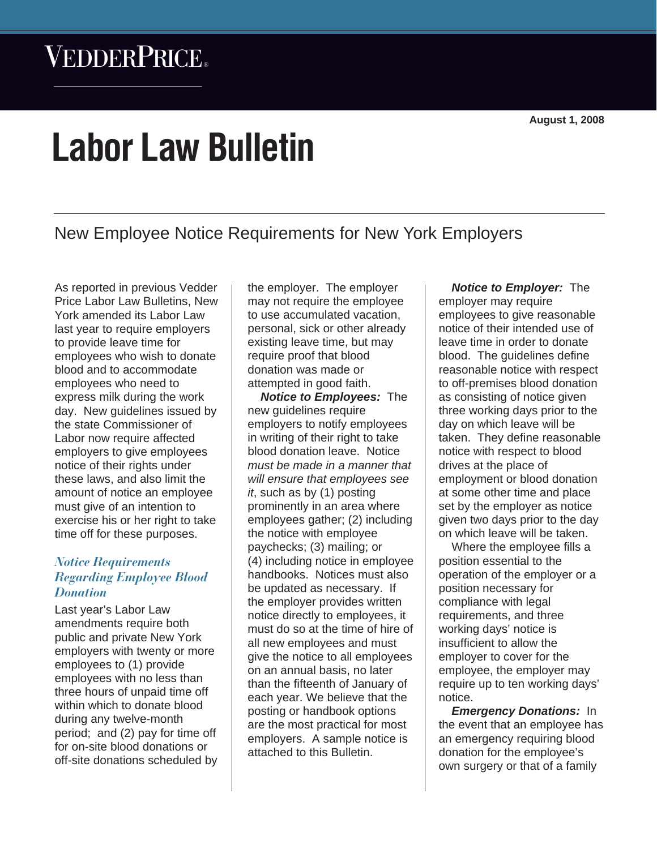# VEDDERPRICE®

# **Labor Law Bulletin**

New Employee Notice Requirements for New York Employers

As reported in previous Vedder Price Labor Law Bulletins, New York amended its Labor Law last year to require employers to provide leave time for employees who wish to donate blood and to accommodate employees who need to express milk during the work day. New guidelines issued by the state Commissioner of Labor now require affected employers to give employees notice of their rights under these laws, and also limit the amount of notice an employee must give of an intention to exercise his or her right to take time off for these purposes.

# *Notice Requirements Regarding Employee Blood Donation*

Last year's Labor Law amendments require both public and private New York employers with twenty or more employees to (1) provide employees with no less than three hours of unpaid time off within which to donate blood during any twelve-month period; and (2) pay for time off for on-site blood donations or off-site donations scheduled by the employer. The employer may not require the employee to use accumulated vacation, personal, sick or other already existing leave time, but may require proof that blood donation was made or attempted in good faith.

*Notice to Employees:* The new guidelines require employers to notify employees in writing of their right to take blood donation leave. Notice *must be made in a manner that will ensure that employees see it*, such as by (1) posting prominently in an area where employees gather; (2) including the notice with employee paychecks; (3) mailing; or (4) including notice in employee handbooks. Notices must also be updated as necessary. If the employer provides written notice directly to employees, it must do so at the time of hire of all new employees and must give the notice to all employees on an annual basis, no later than the fifteenth of January of each year. We believe that the posting or handbook options are the most practical for most employers. A sample notice is attached to this Bulletin.

*Notice to Employer:* The employer may require employees to give reasonable notice of their intended use of leave time in order to donate blood. The quidelines define reasonable notice with respect to off-premises blood donation as consisting of notice given three working days prior to the day on which leave will be taken. They define reasonable notice with respect to blood drives at the place of employment or blood donation at some other time and place set by the employer as notice given two days prior to the day on which leave will be taken.

Where the employee fills a position essential to the operation of the employer or a position necessary for compliance with legal requirements, and three working days' notice is insufficient to allow the employer to cover for the employee, the employer may require up to ten working days' notice.

*Emergency Donations:* In the event that an employee has an emergency requiring blood donation for the employee's own surgery or that of a family

*Labor Law Bulletin* Q *August 1, 2008*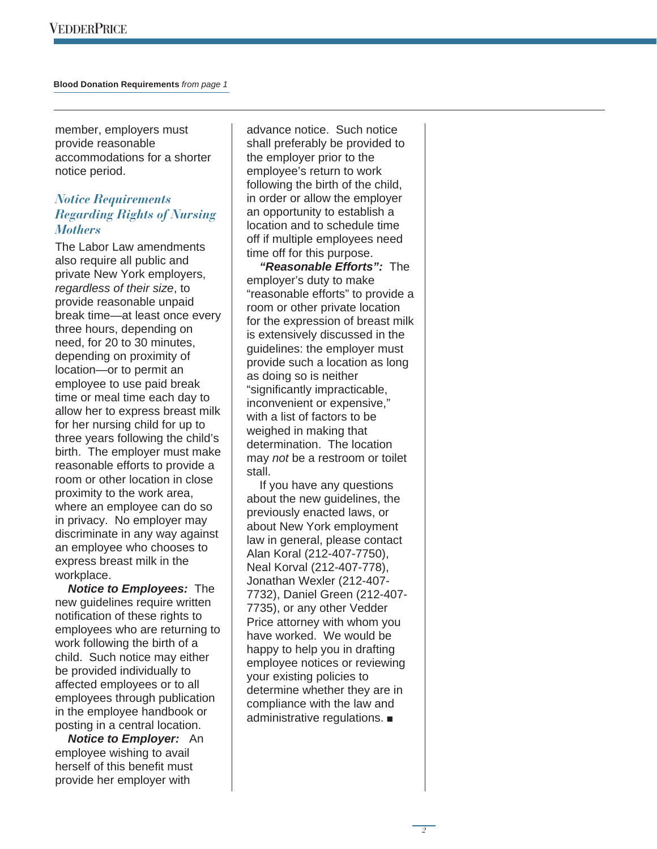member, employers must provide reasonable accommodations for a shorter notice period.

## *Notice Requirements Regarding Rights of Nursing Mothers*

The Labor Law amendments also require all public and private New York employers, *regardless of their size*, to provide reasonable unpaid break time—at least once every three hours, depending on need, for 20 to 30 minutes, depending on proximity of location—or to permit an employee to use paid break time or meal time each day to allow her to express breast milk for her nursing child for up to three years following the child's birth. The employer must make reasonable efforts to provide a room or other location in close proximity to the work area, where an employee can do so in privacy. No employer may discriminate in any way against an employee who chooses to express breast milk in the workplace.

*Notice to Employees:* The new guidelines require written notification of these rights to employees who are returning to work following the birth of a child. Such notice may either be provided individually to affected employees or to all employees through publication in the employee handbook or posting in a central location.

*Notice to Employer:* An employee wishing to avail herself of this benefit must provide her employer with

advance notice. Such notice shall preferably be provided to the employer prior to the employee's return to work following the birth of the child, in order or allow the employer an opportunity to establish a location and to schedule time off if multiple employees need time off for this purpose.

*"Reasonable Efforts":* The employer's duty to make "reasonable efforts" to provide a room or other private location for the expression of breast milk is extensively discussed in the guidelines: the employer must provide such a location as long as doing so is neither "significantly impracticable, inconvenient or expensive," with a list of factors to be weighed in making that determination. The location may *not* be a restroom or toilet stall.

If you have any questions about the new guidelines, the previously enacted laws, or about New York employment law in general, please contact Alan Koral (212-407-7750), Neal Korval (212-407-778), Jonathan Wexler (212-407- 7732), Daniel Green (212-407- 7735), or any other Vedder Price attorney with whom you have worked. We would be happy to help you in drafting employee notices or reviewing your existing policies to determine whether they are in compliance with the law and administrative regulations.  $\blacksquare$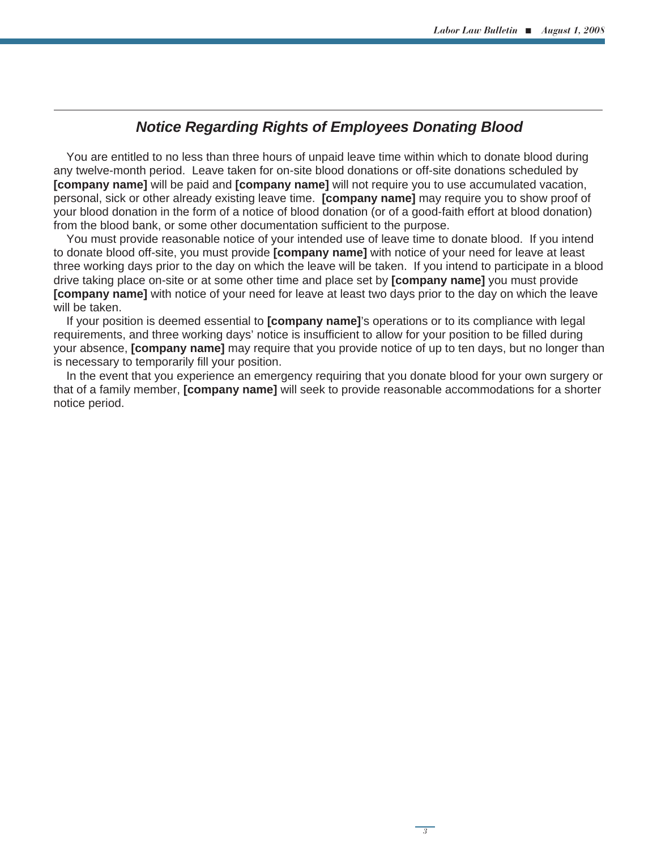# *Notice Regarding Rights of Employees Donating Blood*

You are entitled to no less than three hours of unpaid leave time within which to donate blood during any twelve-month period. Leave taken for on-site blood donations or off-site donations scheduled by **[company name]** will be paid and **[company name]** will not require you to use accumulated vacation, personal, sick or other already existing leave time. **[company name]** may require you to show proof of your blood donation in the form of a notice of blood donation (or of a good-faith effort at blood donation) from the blood bank, or some other documentation sufficient to the purpose.

You must provide reasonable notice of your intended use of leave time to donate blood. If you intend to donate blood off-site, you must provide **[company name]** with notice of your need for leave at least three working days prior to the day on which the leave will be taken. If you intend to participate in a blood drive taking place on-site or at some other time and place set by **[company name]** you must provide **[company name]** with notice of your need for leave at least two days prior to the day on which the leave will be taken.

If your position is deemed essential to **[company name]**'s operations or to its compliance with legal requirements, and three working days' notice is insufficient to allow for your position to be filled during your absence, **[company name]** may require that you provide notice of up to ten days, but no longer than is necessary to temporarily fill your position.

In the event that you experience an emergency requiring that you donate blood for your own surgery or that of a family member, **[company name]** will seek to provide reasonable accommodations for a shorter notice period.

*3*